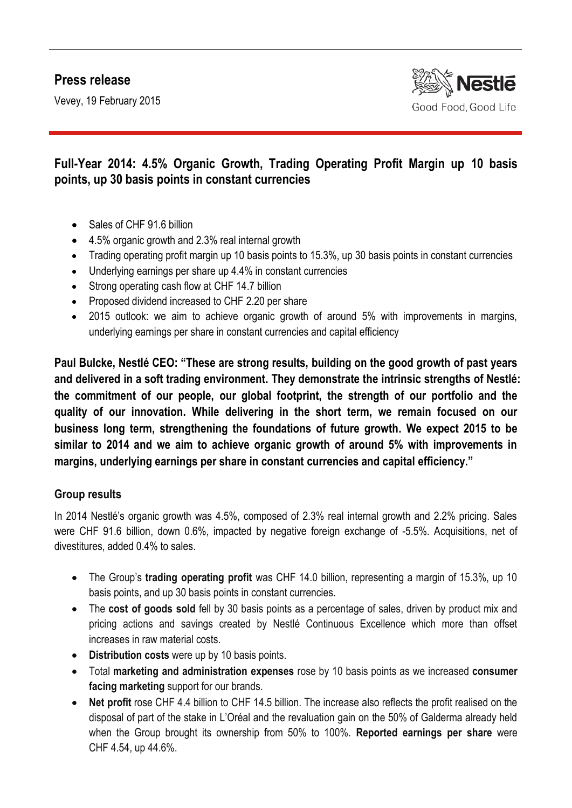# **Press release**

Vevey, 19 February 2015



## **Full-Year 2014: 4.5% Organic Growth, Trading Operating Profit Margin up 10 basis points, up 30 basis points in constant currencies**

- Sales of CHF 91.6 billion
- 4.5% organic growth and 2.3% real internal growth
- Trading operating profit margin up 10 basis points to 15.3%, up 30 basis points in constant currencies
- Underlying earnings per share up 4.4% in constant currencies
- Strong operating cash flow at CHF 14.7 billion
- Proposed dividend increased to CHF 2.20 per share
- 2015 outlook: we aim to achieve organic growth of around 5% with improvements in margins, underlying earnings per share in constant currencies and capital efficiency

**Paul Bulcke, Nestlé CEO: "These are strong results, building on the good growth of past years and delivered in a soft trading environment. They demonstrate the intrinsic strengths of Nestlé: the commitment of our people, our global footprint, the strength of our portfolio and the quality of our innovation. While delivering in the short term, we remain focused on our business long term, strengthening the foundations of future growth. We expect 2015 to be similar to 2014 and we aim to achieve organic growth of around 5% with improvements in margins, underlying earnings per share in constant currencies and capital efficiency."** 

### **Group results**

In 2014 Nestlé's organic growth was 4.5%, composed of 2.3% real internal growth and 2.2% pricing. Sales were CHF 91.6 billion, down 0.6%, impacted by negative foreign exchange of -5.5%. Acquisitions, net of divestitures, added 0.4% to sales.

- The Group's **trading operating profit** was CHF 14.0 billion, representing a margin of 15.3%, up 10 basis points, and up 30 basis points in constant currencies.
- The **cost of goods sold** fell by 30 basis points as a percentage of sales, driven by product mix and pricing actions and savings created by Nestlé Continuous Excellence which more than offset increases in raw material costs.
- **Distribution costs** were up by 10 basis points.
- Total **marketing and administration expenses** rose by 10 basis points as we increased **consumer facing marketing** support for our brands.
- **Net profit** rose CHF 4.4 billion to CHF 14.5 billion. The increase also reflects the profit realised on the disposal of part of the stake in L'Oréal and the revaluation gain on the 50% of Galderma already held when the Group brought its ownership from 50% to 100%. **Reported earnings per share** were CHF 4.54, up 44.6%.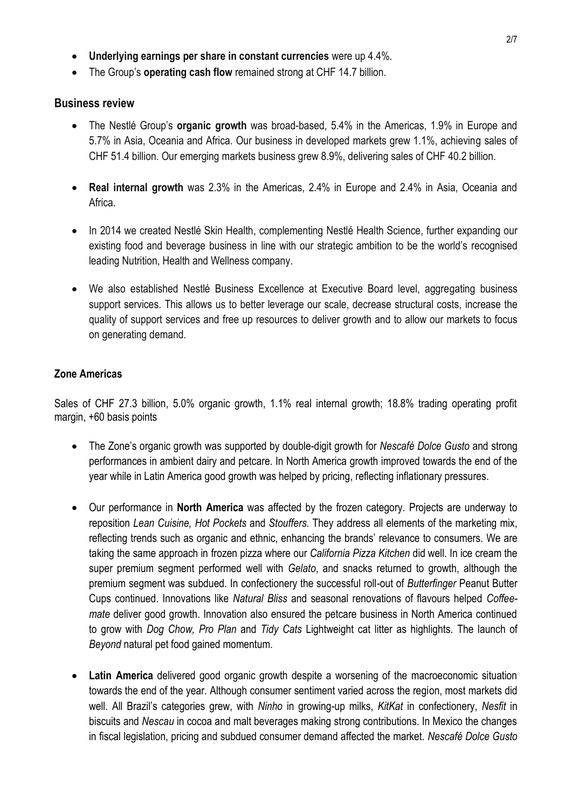- **Underlying earnings per share in constant currencies** were up 4.4%.
- The Group's **operating cash flow** remained strong at CHF 14.7 billion.

#### **Business review**

- The Nestlé Group's **organic growth** was broad-based, 5.4% in the Americas, 1.9% in Europe and 5.7% in Asia, Oceania and Africa. Our business in developed markets grew 1.1%, achieving sales of CHF 51.4 billion. Our emerging markets business grew 8.9%, delivering sales of CHF 40.2 billion.
- **Real internal growth** was 2.3% in the Americas, 2.4% in Europe and 2.4% in Asia, Oceania and Africa.
- In 2014 we created Nestlé Skin Health, complementing Nestlé Health Science, further expanding our existing food and beverage business in line with our strategic ambition to be the world's recognised leading Nutrition, Health and Wellness company.
- We also established Nestlé Business Excellence at Executive Board level, aggregating business support services. This allows us to better leverage our scale, decrease structural costs, increase the quality of support services and free up resources to deliver growth and to allow our markets to focus on generating demand.

#### **Zone Americas**

Sales of CHF 27.3 billion, 5.0% organic growth, 1.1% real internal growth; 18.8% trading operating profit margin, +60 basis points

- The Zone's organic growth was supported by double-digit growth for *Nescafé Dolce Gusto* and strong performances in ambient dairy and petcare. In North America growth improved towards the end of the year while in Latin America good growth was helped by pricing, reflecting inflationary pressures.
- Our performance in **North America** was affected by the frozen category. Projects are underway to reposition *Lean Cuisine, Hot Pockets* and *Stouffers.* They address all elements of the marketing mix, reflecting trends such as organic and ethnic, enhancing the brands' relevance to consumers. We are taking the same approach in frozen pizza where our *California Pizza Kitchen* did well. In ice cream the super premium segment performed well with *Gelato*, and snacks returned to growth, although the premium segment was subdued. In confectionery the successful roll-out of *Butterfinger* Peanut Butter Cups continued. Innovations like *Natural Bliss* and seasonal renovations of flavours helped *Coffeemate* deliver good growth. Innovation also ensured the petcare business in North America continued to grow with *Dog Chow, Pro Plan* and *Tidy Cats* Lightweight cat litter as highlights. The launch of *Beyond* natural pet food gained momentum.
- **Latin America** delivered good organic growth despite a worsening of the macroeconomic situation towards the end of the year. Although consumer sentiment varied across the region, most markets did well. All Brazil's categories grew, with *Ninho* in growing-up milks, *KitKat* in confectionery, *Nesfit* in biscuits and *Nescau* in cocoa and malt beverages making strong contributions. In Mexico the changes in fiscal legislation, pricing and subdued consumer demand affected the market. *Nescafé Dolce Gusto*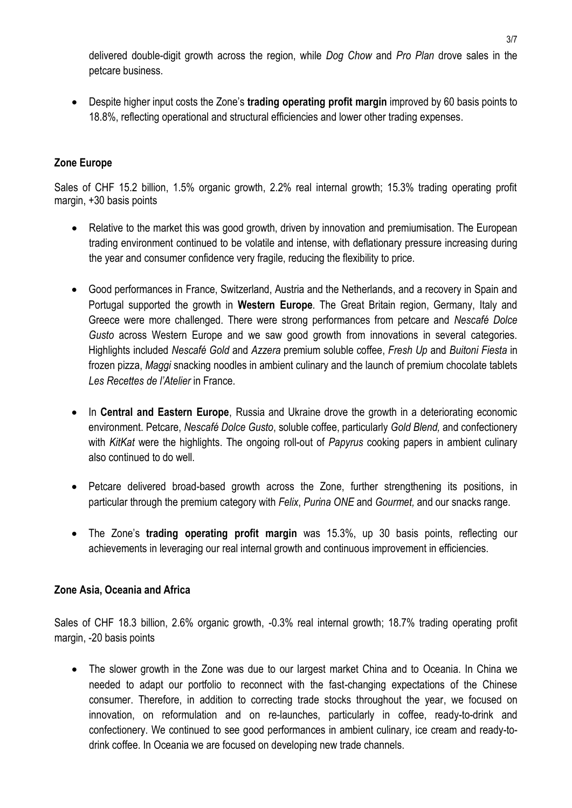delivered double-digit growth across the region, while *Dog Chow* and *Pro Plan* drove sales in the petcare business.

 Despite higher input costs the Zone's **trading operating profit margin** improved by 60 basis points to 18.8%, reflecting operational and structural efficiencies and lower other trading expenses.

### **Zone Europe**

Sales of CHF 15.2 billion, 1.5% organic growth, 2.2% real internal growth; 15.3% trading operating profit margin, +30 basis points

- Relative to the market this was good growth, driven by innovation and premiumisation. The European trading environment continued to be volatile and intense, with deflationary pressure increasing during the year and consumer confidence very fragile, reducing the flexibility to price.
- Good performances in France, Switzerland, Austria and the Netherlands, and a recovery in Spain and Portugal supported the growth in **Western Europe**. The Great Britain region, Germany, Italy and Greece were more challenged. There were strong performances from petcare and *Nescafé Dolce Gusto* across Western Europe and we saw good growth from innovations in several categories. Highlights included *Nescafé Gold* and *Azzera* premium soluble coffee, *Fresh Up* and *Buitoni Fiesta* in frozen pizza, *Maggi* snacking noodles in ambient culinary and the launch of premium chocolate tablets *Les Recettes de l'Atelier* in France.
- In **Central and Eastern Europe**, Russia and Ukraine drove the growth in a deteriorating economic environment. Petcare, *Nescafé Dolce Gusto*, soluble coffee, particularly *Gold Blend,* and confectionery with *KitKat* were the highlights. The ongoing roll-out of *Papyrus* cooking papers in ambient culinary also continued to do well.
- Petcare delivered broad-based growth across the Zone, further strengthening its positions, in particular through the premium category with *Felix*, *Purina ONE* and *Gourmet,* and our snacks range.
- The Zone's **trading operating profit margin** was 15.3%, up 30 basis points, reflecting our achievements in leveraging our real internal growth and continuous improvement in efficiencies.

### **Zone Asia, Oceania and Africa**

Sales of CHF 18.3 billion, 2.6% organic growth, -0.3% real internal growth; 18.7% trading operating profit margin, -20 basis points

• The slower growth in the Zone was due to our largest market China and to Oceania. In China we needed to adapt our portfolio to reconnect with the fast-changing expectations of the Chinese consumer. Therefore, in addition to correcting trade stocks throughout the year, we focused on innovation, on reformulation and on re-launches, particularly in coffee, ready-to-drink and confectionery. We continued to see good performances in ambient culinary, ice cream and ready-todrink coffee. In Oceania we are focused on developing new trade channels.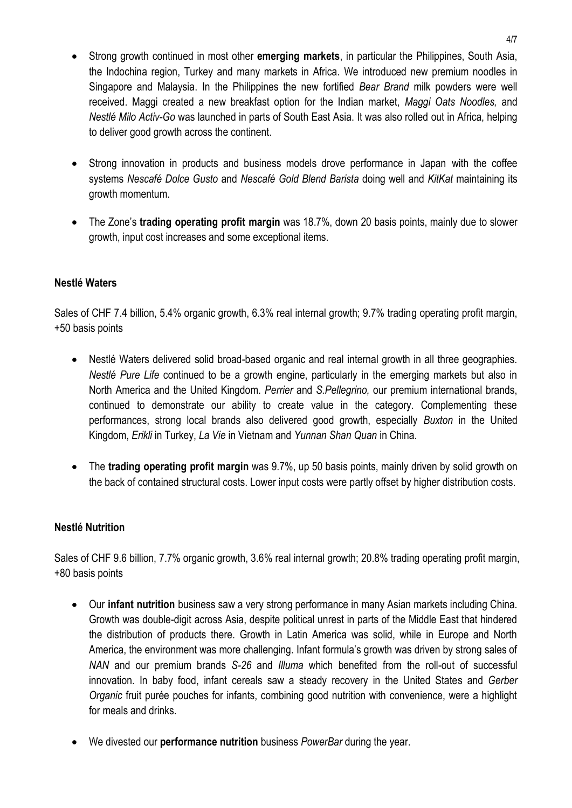- Strong growth continued in most other **emerging markets**, in particular the Philippines, South Asia, the Indochina region, Turkey and many markets in Africa. We introduced new premium noodles in Singapore and Malaysia. In the Philippines the new fortified *Bear Brand* milk powders were well received. Maggi created a new breakfast option for the Indian market, *Maggi Oats Noodles,* and *Nestlé Milo Activ-Go* was launched in parts of South East Asia. It was also rolled out in Africa, helping to deliver good growth across the continent.
- Strong innovation in products and business models drove performance in Japan with the coffee systems *Nescafé Dolce Gusto* and *Nescafé Gold Blend Barista* doing well and *KitKat* maintaining its growth momentum.
- The Zone's **trading operating profit margin** was 18.7%, down 20 basis points, mainly due to slower growth, input cost increases and some exceptional items.

### **Nestlé Waters**

Sales of CHF 7.4 billion, 5.4% organic growth, 6.3% real internal growth; 9.7% trading operating profit margin, +50 basis points

- Nestlé Waters delivered solid broad-based organic and real internal growth in all three geographies. *Nestlé Pure Life* continued to be a growth engine, particularly in the emerging markets but also in North America and the United Kingdom. *Perrier* and *S.Pellegrino,* our premium international brands, continued to demonstrate our ability to create value in the category. Complementing these performances, strong local brands also delivered good growth, especially *Buxton* in the United Kingdom, *Erikli* in Turkey, *La Vie* in Vietnam and *Yunnan Shan Quan* in China.
- The **trading operating profit margin** was 9.7%, up 50 basis points, mainly driven by solid growth on the back of contained structural costs. Lower input costs were partly offset by higher distribution costs.

### **Nestlé Nutrition**

Sales of CHF 9.6 billion, 7.7% organic growth, 3.6% real internal growth; 20.8% trading operating profit margin, +80 basis points

- Our **infant nutrition** business saw a very strong performance in many Asian markets including China. Growth was double-digit across Asia, despite political unrest in parts of the Middle East that hindered the distribution of products there. Growth in Latin America was solid, while in Europe and North America, the environment was more challenging. Infant formula's growth was driven by strong sales of *NAN* and our premium brands *S-26* and *Illuma* which benefited from the roll-out of successful innovation. In baby food, infant cereals saw a steady recovery in the United States and *Gerber Organic* fruit purée pouches for infants, combining good nutrition with convenience, were a highlight for meals and drinks.
- We divested our **performance nutrition** business *PowerBar* during the year.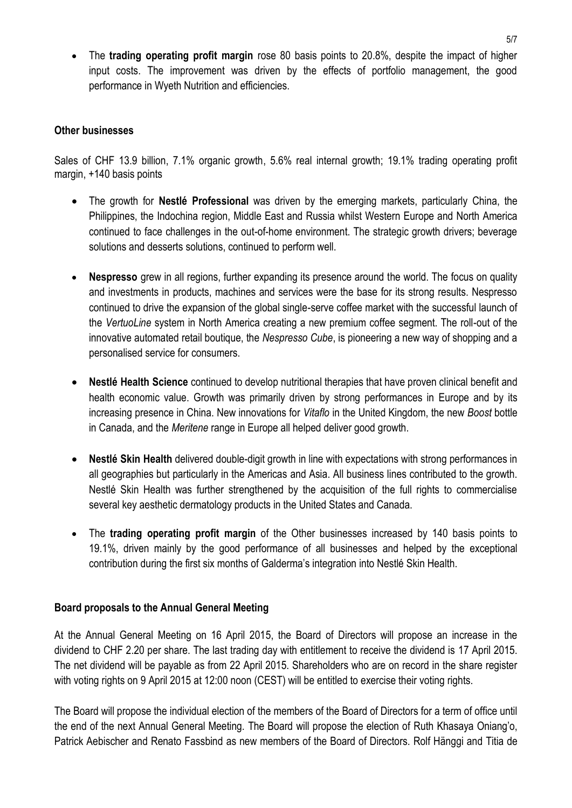The **trading operating profit margin** rose 80 basis points to 20.8%, despite the impact of higher input costs. The improvement was driven by the effects of portfolio management, the good performance in Wyeth Nutrition and efficiencies.

#### **Other businesses**

Sales of CHF 13.9 billion, 7.1% organic growth, 5.6% real internal growth; 19.1% trading operating profit margin, +140 basis points

- The growth for **Nestlé Professional** was driven by the emerging markets, particularly China, the Philippines, the Indochina region, Middle East and Russia whilst Western Europe and North America continued to face challenges in the out-of-home environment. The strategic growth drivers; beverage solutions and desserts solutions, continued to perform well.
- **Nespresso** grew in all regions, further expanding its presence around the world. The focus on quality and investments in products, machines and services were the base for its strong results. Nespresso continued to drive the expansion of the global single-serve coffee market with the successful launch of the *VertuoLine* system in North America creating a new premium coffee segment. The roll-out of the innovative automated retail boutique, the *Nespresso Cube*, is pioneering a new way of shopping and a personalised service for consumers.
- **Nestlé Health Science** continued to develop nutritional therapies that have proven clinical benefit and health economic value. Growth was primarily driven by strong performances in Europe and by its increasing presence in China. New innovations for *Vitaflo* in the United Kingdom, the new *Boost* bottle in Canada, and the *Meritene* range in Europe all helped deliver good growth.
- **Nestlé Skin Health** delivered double-digit growth in line with expectations with strong performances in all geographies but particularly in the Americas and Asia. All business lines contributed to the growth. Nestlé Skin Health was further strengthened by the acquisition of the full rights to commercialise several key aesthetic dermatology products in the United States and Canada.
- The **trading operating profit margin** of the Other businesses increased by 140 basis points to 19.1%, driven mainly by the good performance of all businesses and helped by the exceptional contribution during the first six months of Galderma's integration into Nestlé Skin Health.

#### **Board proposals to the Annual General Meeting**

At the Annual General Meeting on 16 April 2015, the Board of Directors will propose an increase in the dividend to CHF 2.20 per share. The last trading day with entitlement to receive the dividend is 17 April 2015. The net dividend will be payable as from 22 April 2015. Shareholders who are on record in the share register with voting rights on 9 April 2015 at 12:00 noon (CEST) will be entitled to exercise their voting rights.

The Board will propose the individual election of the members of the Board of Directors for a term of office until the end of the next Annual General Meeting. The Board will propose the election of Ruth Khasaya Oniang'o, Patrick Aebischer and Renato Fassbind as new members of the Board of Directors. Rolf Hänggi and Titia de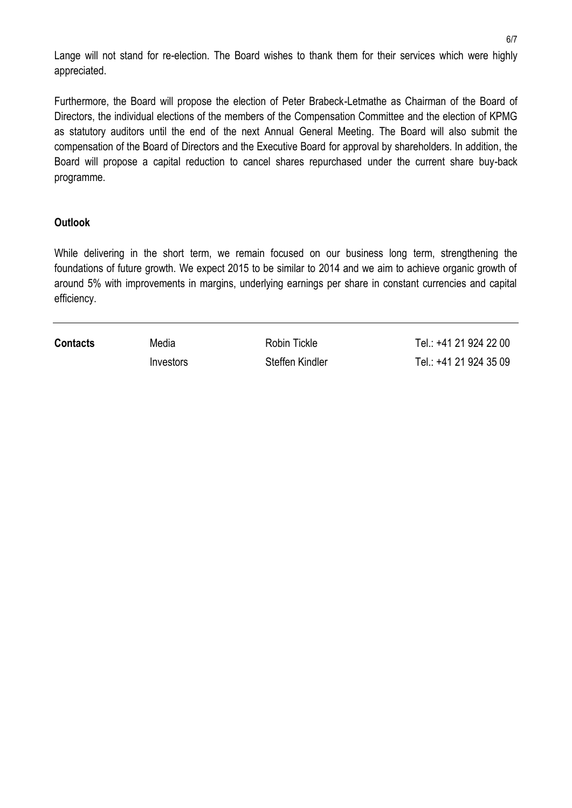Lange will not stand for re-election. The Board wishes to thank them for their services which were highly appreciated.

Furthermore, the Board will propose the election of Peter Brabeck-Letmathe as Chairman of the Board of Directors, the individual elections of the members of the Compensation Committee and the election of KPMG as statutory auditors until the end of the next Annual General Meeting. The Board will also submit the compensation of the Board of Directors and the Executive Board for approval by shareholders. In addition, the Board will propose a capital reduction to cancel shares repurchased under the current share buy-back programme.

#### **Outlook**

While delivering in the short term, we remain focused on our business long term, strengthening the foundations of future growth. We expect 2015 to be similar to 2014 and we aim to achieve organic growth of around 5% with improvements in margins, underlying earnings per share in constant currencies and capital efficiency.

**Contacts** Media **Media** Robin Tickle Tel.: +41 21 924 22 00 Investors Steffen Kindler Tel.: +41 21 924 35 09